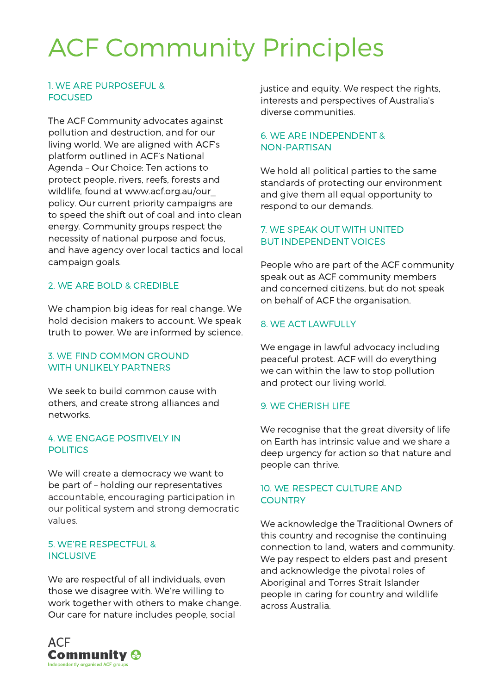# ACF Community Principles

# 1. WE ARE PURPOSEFUL & FOCUSED

The ACF Community advocates against pollution and destruction, and for our living world. We are aligned with ACF's platform outlined in ACF's National Agenda – Our Choice: Ten actions to protect people, rivers, reefs, forests and wildlife, found at www.acf.org.au/our\_ policy. Our current priority campaigns are to speed the shift out of coal and into clean energy. Community groups respect the necessity of national purpose and focus, and have agency over local tactics and local campaign goals.

# 2. WE ARE BOLD & CREDIBLE

We champion big ideas for real change. We hold decision makers to account. We speak truth to power. We are informed by science.

# 3. WE FIND COMMON GROUND WITH UNLIKELY PARTNERS

We seek to build common cause with others, and create strong alliances and networks.

# 4. WE ENGAGE POSITIVELY IN POLITICS

We will create a democracy we want to be part of – holding our representatives accountable, encouraging participation in our political system and strong democratic values.

# 5. WE'RE RESPECTFUL & INCLUSIVE

We are respectful of all individuals, even those we disagree with. We're willing to work together with others to make change. Our care for nature includes people, social



justice and equity. We respect the rights, interests and perspectives of Australia's diverse communities.

# 6. WE ARE INDEPENDENT & NON-PARTISAN

We hold all political parties to the same standards of protecting our environment and give them all equal opportunity to respond to our demands.

# 7. WE SPEAK OUT WITH UNITED BUT INDEPENDENT VOICES

People who are part of the ACF community speak out as ACF community members and concerned citizens, but do not speak on behalf of ACF the organisation.

# 8. WE ACT LAWFULLY

We engage in lawful advocacy including peaceful protest. ACF will do everything we can within the law to stop pollution and protect our living world.

# 9. WE CHERISH LIFE

We recognise that the great diversity of life on Earth has intrinsic value and we share a deep urgency for action so that nature and people can thrive.

# 10. WE RESPECT CULTURE AND **COUNTRY**

We acknowledge the Traditional Owners of this country and recognise the continuing connection to land, waters and community. We pay respect to elders past and present and acknowledge the pivotal roles of Aboriginal and Torres Strait Islander people in caring for country and wildlife across Australia.